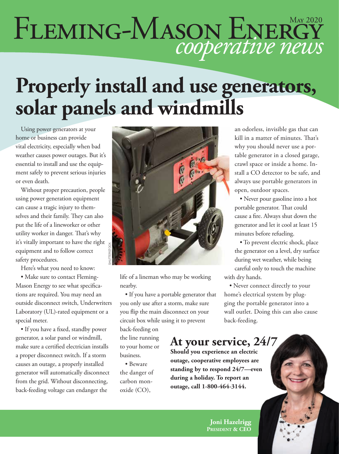# FLEMING-MASON ENERGY

## **Properly install and use generators, solar panels and windmills**

Using power generators at your home or business can provide vital electricity, especially when bad weather causes power outages. But it's essential to install and use the equipment safely to prevent serious injuries or even death.

Without proper precaution, people using power generation equipment can cause a tragic injury to themselves and their family. They can also put the life of a lineworker or other utility worker in danger. That's why it's vitally important to have the right equipment and to follow correct safety procedures.

Here's what you need to know:

• Make sure to contact Fleming-Mason Energy to see what specifications are required. You may need an outside disconnect switch, Underwriters Laboratory (UL)-rated equipment or a special meter.

• If you have a fixed, standby power generator, a solar panel or windmill, make sure a certified electrician installs a proper disconnect switch. If a storm causes an outage, a properly installed generator will automatically disconnect from the grid. Without disconnecting, back-feeding voltage can endanger the



life of a lineman who may be working nearby.

• If you have a portable generator that you only use after a storm, make sure you flip the main disconnect on your circuit box while using it to prevent

back-feeding on the line running to your home or business.

• Beware the danger of carbon monoxide (CO),

an odorless, invisible gas that can kill in a matter of minutes. That's why you should never use a portable generator in a closed garage, crawl space or inside a home. Install a CO detector to be safe, and always use portable generators in open, outdoor spaces.

• Never pour gasoline into a hot portable generator. That could cause a fire. Always shut down the generator and let it cool at least 15 minutes before refueling.

• To prevent electric shock, place the generator on a level, dry surface during wet weather, while being careful only to touch the machine with dry hands.

• Never connect directly to your home's electrical system by plugging the portable generator into a wall outlet. Doing this can also cause back-feeding.

#### **At your service, 24/7**

**Should you experience an electric outage, cooperative employees are standing by to respond 24/7—even during a holiday. To report an outage, call 1-800-464-3144.**

> **Joni Hazelrigg President & CEO**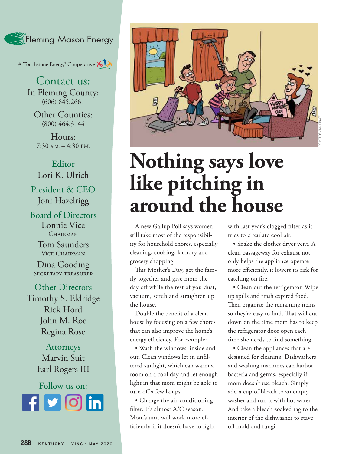

A Touchstone Energy<sup>®</sup> Cooperative AIX

Contact us: In Fleming County:  $(606)$   $845.2661$ 

Other Counties: (800) 464.3144

Hours:  $7:30$  A.M.  $-4:30$  P.M.

Editor Lori K. Ulrich President & CEO Joni Hazelrigg

Board of Directors Lonnie Vice CHAIRMAN

> Tom Saunders Vice Chairman

Dina Gooding Secretary treasurer

Other Directors Timothy S. Eldridge Rick Hord John M. Roe Regina Rose

> Attorneys Marvin Suit Earl Rogers III

Follow us on: **Rounded square** Only use blue and/or white. For more details check out our Brand Guidelines.



## **Nothing says love like pitching in around the house**

A new Gallup Poll says women still take most of the responsibility for household chores, especially cleaning, cooking, laundry and grocery shopping.

This Mother's Day, get the family together and give mom the day off while the rest of you dust, vacuum, scrub and straighten up the house.

Double the benefit of a clean house by focusing on a few chores that can also improve the home's energy efficiency. For example:

• Wash the windows, inside and out. Clean windows let in unfiltered sunlight, which can warm a room on a cool day and let enough light in that mom might be able to turn off a few lamps.

• Change the air-conditioning filter. It's almost A/C season. Mom's unit will work more efficiently if it doesn't have to fight with last year's clogged filter as it tries to circulate cool air.

• Snake the clothes dryer vent. A clean passageway for exhaust not only helps the appliance operate more efficiently, it lowers its risk for catching on fire.

• Clean out the refrigerator. Wipe up spills and trash expired food. Then organize the remaining items so they're easy to find. That will cut down on the time mom has to keep the refrigerator door open each time she needs to find something.

• Clean the appliances that are designed for cleaning. Dishwashers and washing machines can harbor bacteria and germs, especially if mom doesn't use bleach. Simply add a cup of bleach to an empty washer and run it with hot water. And take a bleach-soaked rag to the interior of the dishwasher to stave off mold and fungi.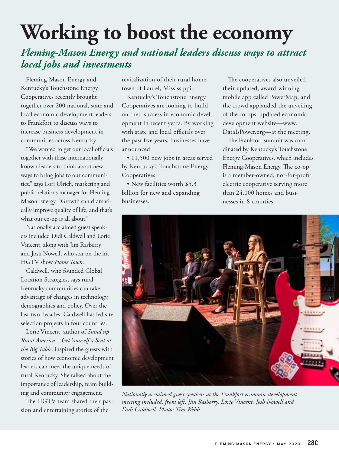# **Working to boost the economy**

#### *Fleming-Mason Energy and national leaders discuss ways to attract local jobs and investments*

Fleming-Mason Energy and Kentucky's Touchstone Energy Cooperatives recently brought together over 200 national, state and local economic development leaders to Frankfort to discuss ways to increase business development in communities across Kentucky.

"We wanted to get our local officials together with these internationally known leaders to think about new ways to bring jobs to our communities," says Lori Ulrich, marketing and public relations manager for Fleming-Mason Energy. "Growth can dramatically improve quality of life, and that's what our co-op is all about."

Nationally acclaimed guest speakers included Didi Caldwell and Lorie Vincent, along with Jim Rasberry and Josh Nowell, who star on the hit HGTV show *Home Town*.

Caldwell, who founded Global Location Strategies, says rural Kentucky communities can take advantage of changes in technology, demographics and policy. Over the last two decades, Caldwell has led site selection projects in four countries.

Lorie Vincent, author of *Stand up Rural America—Get Yourself a Seat at the Big Table*, inspired the guests with stories of how economic development leaders can meet the unique needs of rural Kentucky. She talked about the importance of leadership, team building and community engagement.

The HGTV team shared their passion and entertaining stories of the

revitalization of their rural hometown of Laurel, Mississippi.

Kentucky's Touchstone Energy Cooperatives are looking to build on their success in economic development in recent years. By working with state and local officials over the past five years, businesses have announced:

• 11,500 new jobs in areas served by Kentucky's Touchstone Energy Cooperatives

• New facilities worth \$5.3 billion for new and expanding businesses.

The cooperatives also unveiled their updated, award-winning mobile app called PowerMap, and the crowd applauded the unveiling of the co-ops' updated economic development website—www. DataIsPower.org—at the meeting.

The Frankfort summit was coordinated by Kentucky's Touchstone Energy Cooperatives, which includes Fleming-Mason Energy. The co-op is a member-owned, not-for-profit electric cooperative serving more than 24,000 homes and businesses in 8 counties.



*Nationally acclaimed guest speakers at the Frankfort economic development meeting included, from left, Jim Rasberry, Lorie Vincent, Josh Nowell and Didi Caldwell. Photo: Tim Webb*